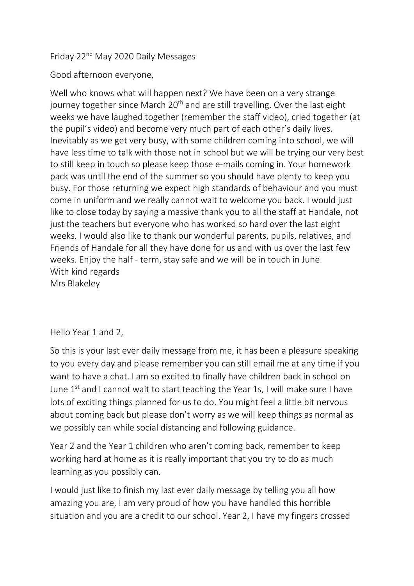# Friday 22nd May 2020 Daily Messages

Good afternoon everyone,

Well who knows what will happen next? We have been on a very strange journey together since March  $20<sup>th</sup>$  and are still travelling. Over the last eight weeks we have laughed together (remember the staff video), cried together (at the pupil's video) and become very much part of each other's daily lives. Inevitably as we get very busy, with some children coming into school, we will have less time to talk with those not in school but we will be trying our very best to still keep in touch so please keep those e-mails coming in. Your homework pack was until the end of the summer so you should have plenty to keep you busy. For those returning we expect high standards of behaviour and you must come in uniform and we really cannot wait to welcome you back. I would just like to close today by saying a massive thank you to all the staff at Handale, not just the teachers but everyone who has worked so hard over the last eight weeks. I would also like to thank our wonderful parents, pupils, relatives, and Friends of Handale for all they have done for us and with us over the last few weeks. Enjoy the half - term, stay safe and we will be in touch in June. With kind regards Mrs Blakeley

## Hello Year 1 and 2,

So this is your last ever daily message from me, it has been a pleasure speaking to you every day and please remember you can still email me at any time if you want to have a chat. I am so excited to finally have children back in school on June  $1^{st}$  and I cannot wait to start teaching the Year 1s, I will make sure I have lots of exciting things planned for us to do. You might feel a little bit nervous about coming back but please don't worry as we will keep things as normal as we possibly can while social distancing and following guidance.

Year 2 and the Year 1 children who aren't coming back, remember to keep working hard at home as it is really important that you try to do as much learning as you possibly can.

I would just like to finish my last ever daily message by telling you all how amazing you are, I am very proud of how you have handled this horrible situation and you are a credit to our school. Year 2, I have my fingers crossed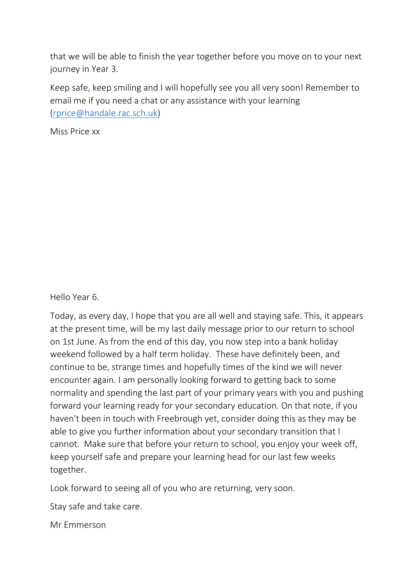that we will be able to finish the year together before you move on to your next journey in Year 3.

Keep safe, keep smiling and I will hopefully see you all very soon! Remember to email me if you need a chat or any assistance with your learning [\(rprice@handale.rac.sch.uk\)](mailto:rprice@handale.rac.sch.uk)

Miss Price xx

Hello Year 6.

Today, as every day, I hope that you are all well and staying safe. This, it appears at the present time, will be my last daily message prior to our return to school on 1st June. As from the end of this day, you now step into a bank holiday weekend followed by a half term holiday. These have definitely been, and continue to be, strange times and hopefully times of the kind we will never encounter again. I am personally looking forward to getting back to some normality and spending the last part of your primary years with you and pushing forward your learning ready for your secondary education. On that note, if you haven't been in touch with Freebrough yet, consider doing this as they may be able to give you further information about your secondary transition that I cannot. Make sure that before your return to school, you enjoy your week off, keep yourself safe and prepare your learning head for our last few weeks together.

Look forward to seeing all of you who are returning, very soon.

Stay safe and take care.

Mr Emmerson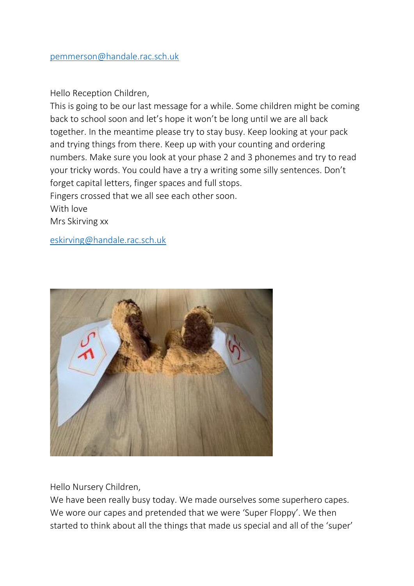#### Hello Reception Children,

This is going to be our last message for a while. Some children might be coming back to school soon and let's hope it won't be long until we are all back together. In the meantime please try to stay busy. Keep looking at your pack and trying things from there. Keep up with your counting and ordering numbers. Make sure you look at your phase 2 and 3 phonemes and try to read your tricky words. You could have a try a writing some silly sentences. Don't forget capital letters, finger spaces and full stops. Fingers crossed that we all see each other soon. With love Mrs Skirving xx

[eskirving@handale.rac.sch.uk](mailto:eskirving@handale.rac.sch.uk)



Hello Nursery Children,

We have been really busy today. We made ourselves some superhero capes. We wore our capes and pretended that we were 'Super Floppy'. We then started to think about all the things that made us special and all of the 'super'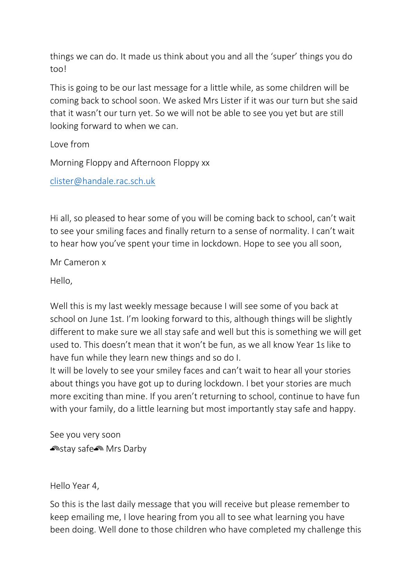things we can do. It made us think about you and all the 'super' things you do too!

This is going to be our last message for a little while, as some children will be coming back to school soon. We asked Mrs Lister if it was our turn but she said that it wasn't our turn yet. So we will not be able to see you yet but are still looking forward to when we can.

Love from

Morning Floppy and Afternoon Floppy xx

[clister@handale.rac.sch.uk](mailto:clister@handale.rac.sch.uk)

Hi all, so pleased to hear some of you will be coming back to school, can't wait to see your smiling faces and finally return to a sense of normality. I can't wait to hear how you've spent your time in lockdown. Hope to see you all soon,

Mr Cameron x

Hello,

Well this is my last weekly message because I will see some of you back at school on June 1st. I'm looking forward to this, although things will be slightly different to make sure we all stay safe and well but this is something we will get used to. This doesn't mean that it won't be fun, as we all know Year 1s like to have fun while they learn new things and so do I.

It will be lovely to see your smiley faces and can't wait to hear all your stories about things you have got up to during lockdown. I bet your stories are much more exciting than mine. If you aren't returning to school, continue to have fun with your family, do a little learning but most importantly stay safe and happy.

See you very soon **Anstay safe** Mrs Darby

Hello Year 4,

So this is the last daily message that you will receive but please remember to keep emailing me, I love hearing from you all to see what learning you have been doing. Well done to those children who have completed my challenge this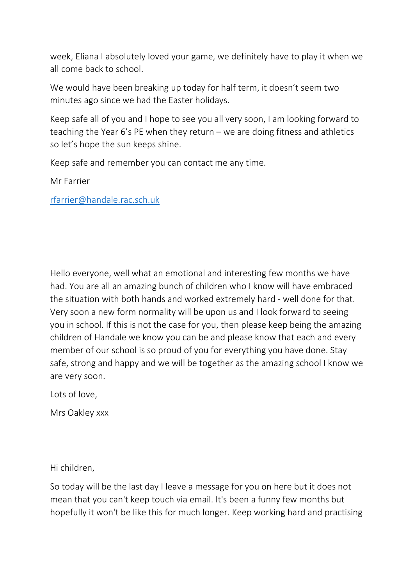week, Eliana I absolutely loved your game, we definitely have to play it when we all come back to school.

We would have been breaking up today for half term, it doesn't seem two minutes ago since we had the Easter holidays.

Keep safe all of you and I hope to see you all very soon, I am looking forward to teaching the Year 6's PE when they return – we are doing fitness and athletics so let's hope the sun keeps shine.

Keep safe and remember you can contact me any time.

Mr Farrier

[rfarrier@handale.rac.sch.uk](mailto:rfarrier@handale.rac.sch.uk)

Hello everyone, well what an emotional and interesting few months we have had. You are all an amazing bunch of children who I know will have embraced the situation with both hands and worked extremely hard - well done for that. Very soon a new form normality will be upon us and I look forward to seeing you in school. If this is not the case for you, then please keep being the amazing children of Handale we know you can be and please know that each and every member of our school is so proud of you for everything you have done. Stay safe, strong and happy and we will be together as the amazing school I know we are very soon.

Lots of love,

Mrs Oakley xxx

Hi children,

So today will be the last day I leave a message for you on here but it does not mean that you can't keep touch via email. It's been a funny few months but hopefully it won't be like this for much longer. Keep working hard and practising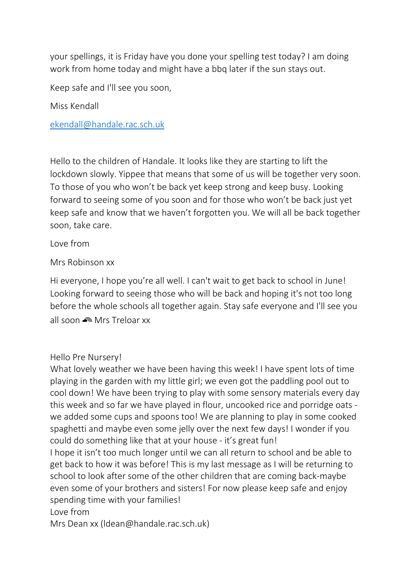your spellings, it is Friday have you done your spelling test today? I am doing work from home today and might have a bbq later if the sun stays out.

Keep safe and I'll see you soon,

Miss Kendall

[ekendall@handale.rac.sch.uk](mailto:ekendall@handale.rac.sch.uk)

Hello to the children of Handale. It looks like they are starting to lift the lockdown slowly. Yippee that means that some of us will be together very soon. To those of you who won't be back yet keep strong and keep busy. Looking forward to seeing some of you soon and for those who won't be back just yet keep safe and know that we haven't forgotten you. We will all be back together soon, take care.

Love from

Mrs Robinson xx

Hi everyone, I hope you're all well. I can't wait to get back to school in June! Looking forward to seeing those who will be back and hoping it's not too long before the whole schools all together again. Stay safe everyone and I'll see you all soon Mrs Treloar xx

#### Hello Pre Nursery!

What lovely weather we have been having this week! I have spent lots of time playing in the garden with my little girl; we even got the paddling pool out to cool down! We have been trying to play with some sensory materials every day this week and so far we have played in flour, uncooked rice and porridge oats we added some cups and spoons too! We are planning to play in some cooked spaghetti and maybe even some jelly over the next few days! I wonder if you could do something like that at your house - it's great fun!

I hope it isn't too much longer until we can all return to school and be able to get back to how it was before! This is my last message as I will be returning to school to look after some of the other children that are coming back-maybe even some of your brothers and sisters! For now please keep safe and enjoy spending time with your families!

Love from

Mrs Dean xx (ldean@handale.rac.sch.uk)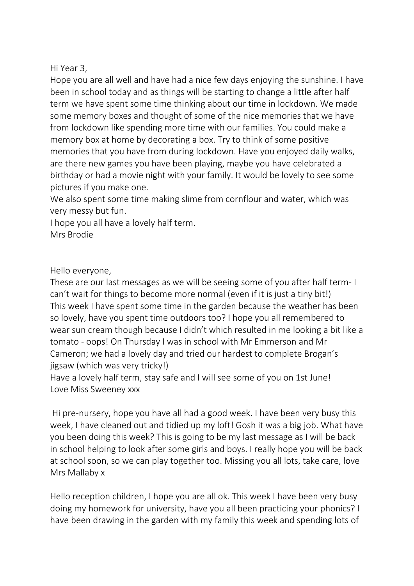## Hi Year 3,

Hope you are all well and have had a nice few days enjoying the sunshine. I have been in school today and as things will be starting to change a little after half term we have spent some time thinking about our time in lockdown. We made some memory boxes and thought of some of the nice memories that we have from lockdown like spending more time with our families. You could make a memory box at home by decorating a box. Try to think of some positive memories that you have from during lockdown. Have you enjoyed daily walks, are there new games you have been playing, maybe you have celebrated a birthday or had a movie night with your family. It would be lovely to see some pictures if you make one.

We also spent some time making slime from cornflour and water, which was very messy but fun.

I hope you all have a lovely half term. Mrs Brodie

### Hello everyone,

These are our last messages as we will be seeing some of you after half term- I can't wait for things to become more normal (even if it is just a tiny bit!) This week I have spent some time in the garden because the weather has been so lovely, have you spent time outdoors too? I hope you all remembered to wear sun cream though because I didn't which resulted in me looking a bit like a tomato - oops! On Thursday I was in school with Mr Emmerson and Mr Cameron; we had a lovely day and tried our hardest to complete Brogan's jigsaw (which was very tricky!)

Have a lovely half term, stay safe and I will see some of you on 1st June! Love Miss Sweeney xxx

Hi pre-nursery, hope you have all had a good week. I have been very busy this week, I have cleaned out and tidied up my loft! Gosh it was a big job. What have you been doing this week? This is going to be my last message as I will be back in school helping to look after some girls and boys. I really hope you will be back at school soon, so we can play together too. Missing you all lots, take care, love Mrs Mallaby x

Hello reception children, I hope you are all ok. This week I have been very busy doing my homework for university, have you all been practicing your phonics? I have been drawing in the garden with my family this week and spending lots of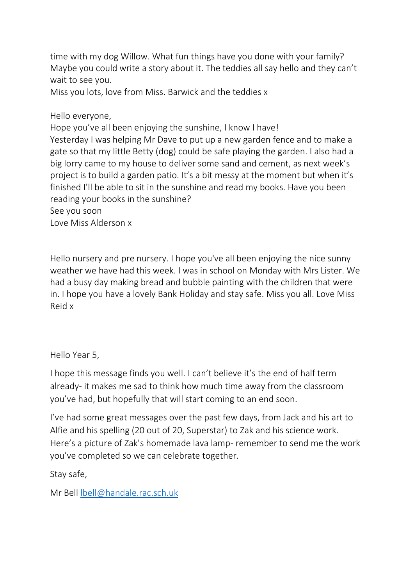time with my dog Willow. What fun things have you done with your family? Maybe you could write a story about it. The teddies all say hello and they can't wait to see you.

Miss you lots, love from Miss. Barwick and the teddies x

Hello everyone,

Hope you've all been enjoying the sunshine, I know I have! Yesterday I was helping Mr Dave to put up a new garden fence and to make a gate so that my little Betty (dog) could be safe playing the garden. I also had a big lorry came to my house to deliver some sand and cement, as next week's project is to build a garden patio. It's a bit messy at the moment but when it's finished I'll be able to sit in the sunshine and read my books. Have you been reading your books in the sunshine?

See you soon

Love Miss Alderson x

Hello nursery and pre nursery. I hope you've all been enjoying the nice sunny weather we have had this week. I was in school on Monday with Mrs Lister. We had a busy day making bread and bubble painting with the children that were in. I hope you have a lovely Bank Holiday and stay safe. Miss you all. Love Miss Reid x

## Hello Year 5,

I hope this message finds you well. I can't believe it's the end of half term already- it makes me sad to think how much time away from the classroom you've had, but hopefully that will start coming to an end soon.

I've had some great messages over the past few days, from Jack and his art to Alfie and his spelling (20 out of 20, Superstar) to Zak and his science work. Here's a picture of Zak's homemade lava lamp- remember to send me the work you've completed so we can celebrate together.

Stay safe,

Mr Bell [lbell@handale.rac.sch.uk](mailto:lbell@handale.rac.sch.uk)